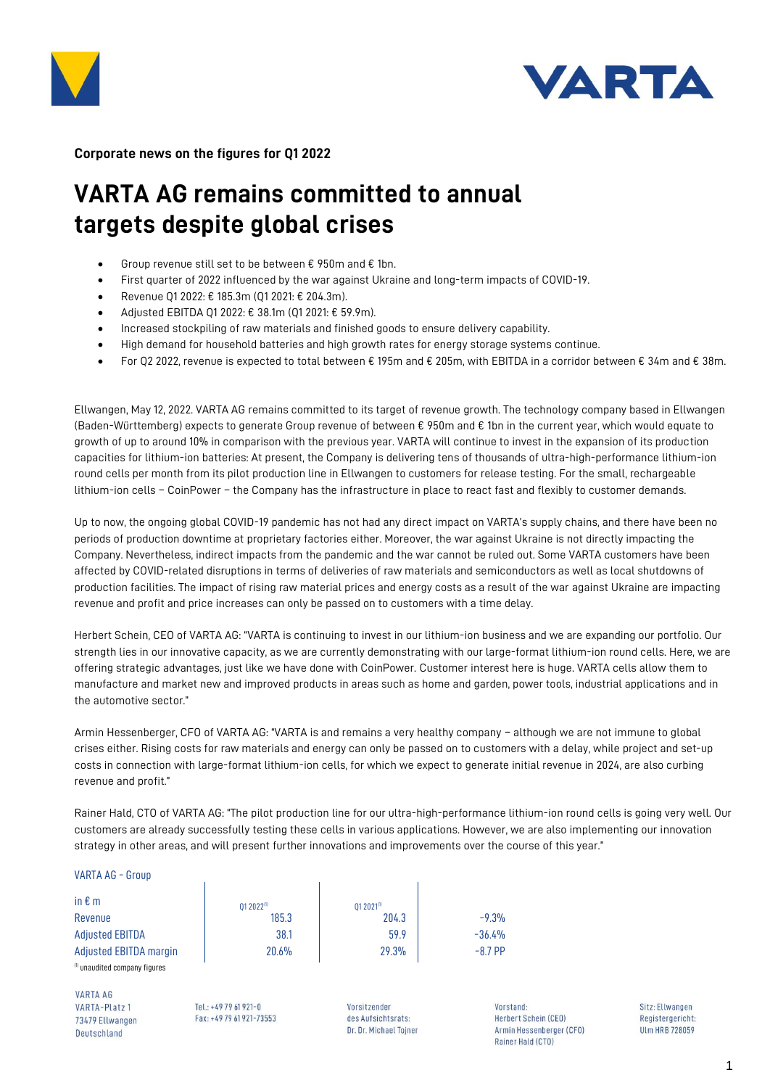



**Corporate news on the figures for Q1 2022**

# **VARTA AG remains committed to annual targets despite global crises**

- Group revenue still set to be between  $\epsilon$  950m and  $\epsilon$  1bn.
- First quarter of 2022 influenced by the war against Ukraine and long-term impacts of COVID-19.
- Revenue Q1 2022: € 185.3m (Q1 2021: € 204.3m).
- Adjusted EBITDA Q1 2022: € 38.1m (Q1 2021: € 59.9m).
- Increased stockpiling of raw materials and finished goods to ensure delivery capability.
- High demand for household batteries and high growth rates for energy storage systems continue.
- For Q2 2022, revenue is expected to total between € 195m and € 205m, with EBITDA in a corridor between € 34m and € 38m.

Ellwangen, May 12, 2022. VARTA AG remains committed to its target of revenue growth. The technology company based in Ellwangen (Baden-Württemberg) expects to generate Group revenue of between € 950m and € 1bn in the current year, which would equate to growth of up to around 10% in comparison with the previous year. VARTA will continue to invest in the expansion of its production capacities for lithium-ion batteries: At present, the Company is delivering tens of thousands of ultra-high-performance lithium-ion round cells per month from its pilot production line in Ellwangen to customers for release testing. For the small, rechargeable lithium-ion cells – CoinPower – the Company has the infrastructure in place to react fast and flexibly to customer demands.

Up to now, the ongoing global COVID-19 pandemic has not had any direct impact on VARTA's supply chains, and there have been no periods of production downtime at proprietary factories either. Moreover, the war against Ukraine is not directly impacting the Company. Nevertheless, indirect impacts from the pandemic and the war cannot be ruled out. Some VARTA customers have been affected by COVID-related disruptions in terms of deliveries of raw materials and semiconductors as well as local shutdowns of production facilities. The impact of rising raw material prices and energy costs as a result of the war against Ukraine are impacting revenue and profit and price increases can only be passed on to customers with a time delay.

Herbert Schein, CEO of VARTA AG: "VARTA is continuing to invest in our lithium-ion business and we are expanding our portfolio. Our strength lies in our innovative capacity, as we are currently demonstrating with our large-format lithium-ion round cells. Here, we are offering strategic advantages, just like we have done with CoinPower. Customer interest here is huge. VARTA cells allow them to manufacture and market new and improved products in areas such as home and garden, power tools, industrial applications and in the automotive sector."

Armin Hessenberger, CFO of VARTA AG: "VARTA is and remains a very healthy company – although we are not immune to global crises either. Rising costs for raw materials and energy can only be passed on to customers with a delay, while project and set-up costs in connection with large-format lithium-ion cells, for which we expect to generate initial revenue in 2024, are also curbing revenue and profit."

Rainer Hald, CTO of VARTA AG: "The pilot production line for our ultra-high-performance lithium-ion round cells is going very well. Our customers are already successfully testing these cells in various applications. However, we are also implementing our innovation strategy in other areas, and will present further innovations and improvements over the course of this year."

## VARTA AG - Group

| in $\epsilon$ m                          | $012022^{(1)}$ | $012021^{(1)}$ |           |
|------------------------------------------|----------------|----------------|-----------|
| Revenue                                  | 185.3          | 204.3          | $-9.3%$   |
| <b>Adjusted EBITDA</b>                   | 38.1           | 59.9           | $-36.4%$  |
| Adjusted EBITDA margin                   | 20.6%          | 29.3%          | $-8.7$ PP |
| <sup>(1)</sup> unaudited company figures |                |                |           |

**VARTA AG** VARTA-Platz 1 73479 Ellwangen **Deutschland** 

Tel: +49 79 61 921-0 Fax: +49 79 61 921-73553 Vorsitzender des Aufsichtsrats: Dr. Dr. Michael Tojner Vorstand **Herbert Schein (CEO)** Armin Hessenberger (CFO) Rainer Hald (CTO)

Sitz: Ellwangen Registergericht: **ULm HRB 728059**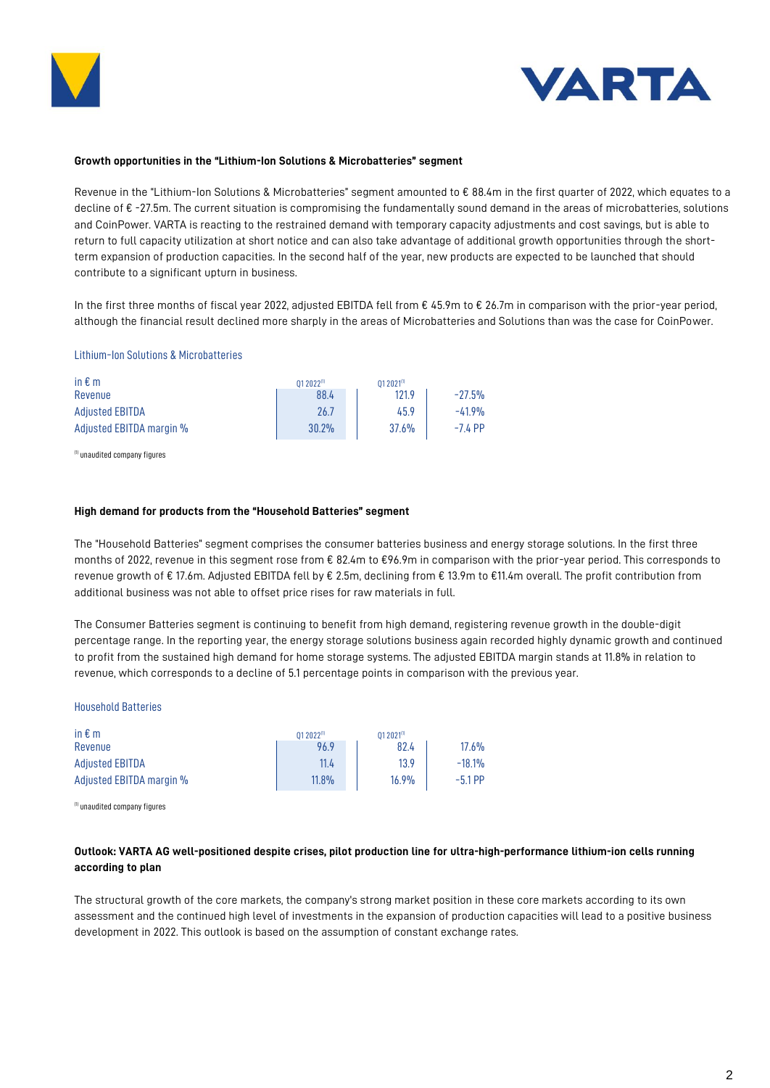



### **Growth opportunities in the "Lithium-Ion Solutions & Microbatteries" segment**

Revenue in the "Lithium-Ion Solutions & Microbatteries" segment amounted to € 88.4m in the first quarter of 2022, which equates to a decline of € -27.5m. The current situation is compromising the fundamentally sound demand in the areas of microbatteries, solutions and CoinPower. VARTA is reacting to the restrained demand with temporary capacity adjustments and cost savings, but is able to return to full capacity utilization at short notice and can also take advantage of additional growth opportunities through the shortterm expansion of production capacities. In the second half of the year, new products are expected to be launched that should contribute to a significant upturn in business.

In the first three months of fiscal year 2022, adjusted EBITDA fell from € 45.9m to € 26.7m in comparison with the prior-year period, although the financial result declined more sharply in the areas of Microbatteries and Solutions than was the case for CoinPower.

## Lithium-Ion Solutions & Microbatteries

| in $\epsilon$ m          | 01 2022(1) | $012021^{(1)}$ |           |
|--------------------------|------------|----------------|-----------|
| Revenue                  | 88.4       | 121.9          | $-27.5%$  |
| <b>Adiusted EBITDA</b>   | 26.7       | 45.9           | $-41.9%$  |
| Adjusted EBITDA margin % | 30.2%      | 37.6%          | $-7.4$ PP |

(1) unaudited company figures

#### **High demand for products from the "Household Batteries" segment**

The "Household Batteries" segment comprises the consumer batteries business and energy storage solutions. In the first three months of 2022, revenue in this segment rose from € 82.4m to €96.9m in comparison with the prior-year period. This corresponds to revenue growth of € 17.6m. Adjusted EBITDA fell by € 2.5m, declining from € 13.9m to €11.4m overall. The profit contribution from additional business was not able to offset price rises for raw materials in full.

The Consumer Batteries segment is continuing to benefit from high demand, registering revenue growth in the double-digit percentage range. In the reporting year, the energy storage solutions business again recorded highly dynamic growth and continued to profit from the sustained high demand for home storage systems. The adjusted EBITDA margin stands at 11.8% in relation to revenue, which corresponds to a decline of 5.1 percentage points in comparison with the previous year.

#### Household Batteries

| in $\epsilon$ m<br>Revenue | 01 2022(1)<br>96.9 | $012021^{(1)}$<br>82.4 | $17.6\%$  |
|----------------------------|--------------------|------------------------|-----------|
| <b>Adjusted EBITDA</b>     | 11.4               | 13.9                   | $-18.1%$  |
| Adjusted EBITDA margin %   | 11.8%              | 16.9%                  | $-5.1$ PP |

(1) unaudited company figures

## **Outlook: VARTA AG well-positioned despite crises, pilot production line for ultra-high-performance lithium-ion cells running according to plan**

The structural growth of the core markets, the company's strong market position in these core markets according to its own assessment and the continued high level of investments in the expansion of production capacities will lead to a positive business development in 2022. This outlook is based on the assumption of constant exchange rates.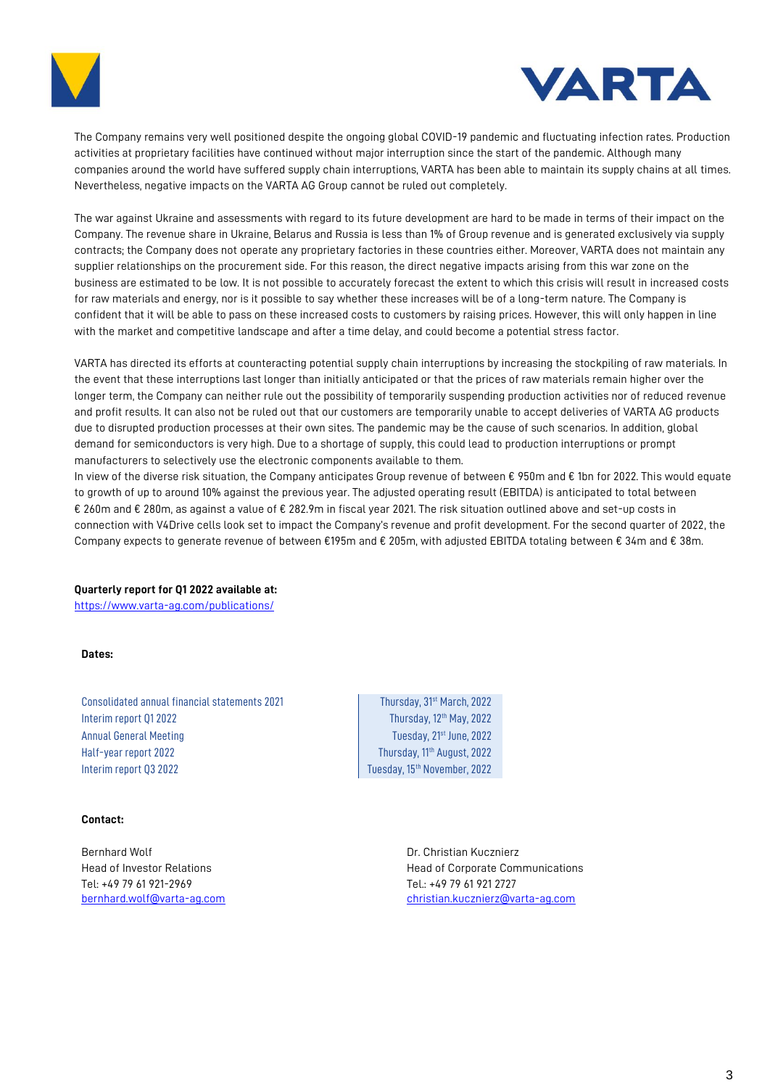



The Company remains very well positioned despite the ongoing global COVID-19 pandemic and fluctuating infection rates. Production activities at proprietary facilities have continued without major interruption since the start of the pandemic. Although many companies around the world have suffered supply chain interruptions, VARTA has been able to maintain its supply chains at all times. Nevertheless, negative impacts on the VARTA AG Group cannot be ruled out completely.

The war against Ukraine and assessments with regard to its future development are hard to be made in terms of their impact on the Company. The revenue share in Ukraine, Belarus and Russia is less than 1% of Group revenue and is generated exclusively via supply contracts; the Company does not operate any proprietary factories in these countries either. Moreover, VARTA does not maintain any supplier relationships on the procurement side. For this reason, the direct negative impacts arising from this war zone on the business are estimated to be low. It is not possible to accurately forecast the extent to which this crisis will result in increased costs for raw materials and energy, nor is it possible to say whether these increases will be of a long-term nature. The Company is confident that it will be able to pass on these increased costs to customers by raising prices. However, this will only happen in line with the market and competitive landscape and after a time delay, and could become a potential stress factor.

VARTA has directed its efforts at counteracting potential supply chain interruptions by increasing the stockpiling of raw materials. In the event that these interruptions last longer than initially anticipated or that the prices of raw materials remain higher over the longer term, the Company can neither rule out the possibility of temporarily suspending production activities nor of reduced revenue and profit results. It can also not be ruled out that our customers are temporarily unable to accept deliveries of VARTA AG products due to disrupted production processes at their own sites. The pandemic may be the cause of such scenarios. In addition, global demand for semiconductors is very high. Due to a shortage of supply, this could lead to production interruptions or prompt manufacturers to selectively use the electronic components available to them.

In view of the diverse risk situation, the Company anticipates Group revenue of between € 950m and € 1bn for 2022. This would equate to growth of up to around 10% against the previous year. The adjusted operating result (EBITDA) is anticipated to total between € 260m and € 280m, as against a value of € 282.9m in fiscal year 2021. The risk situation outlined above and set-up costs in connection with V4Drive cells look set to impact the Company's revenue and profit development. For the second quarter of 2022, the Company expects to generate revenue of between €195m and € 205m, with adjusted EBITDA totaling between € 34m and € 38m.

**Quarterly report for Q1 2022 available at:** 

<https://www.varta-ag.com/publications/>

**Dates:**

Consolidated annual financial statements 2021 Thursday, 31<sup>st</sup> March, 2022 Interim report 01 2022 **Interim report 01** 2022 Annual General Meeting Tuesday, 21<sup>st</sup> June, 2022 Half-year report 2022 **Thursday, 11<sup>th</sup> August, 2022** Interim report Q3 2022 **Tuesday, 15<sup>th</sup> November, 2022** 

## **Contact:**

Bernhard Wolf Dr. Christian Kucznierz Tel: +49 79 61 921-2969 Tel.: +49 79 61 921 2727

Head of Investor Relations **Head of Corporate Communications** [bernhard.wolf@varta-ag.com](mailto:bernhard.wolf@varta-ag.com) christian.kucznierz@varta-ag.com